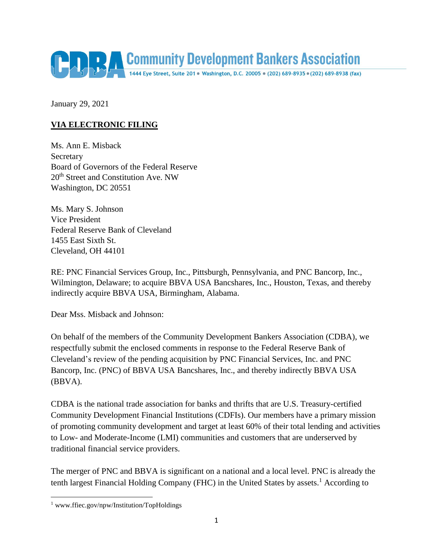

January 29, 2021

## **VIA ELECTRONIC FILING**

Ms. Ann E. Misback **Secretary** Board of Governors of the Federal Reserve 20<sup>th</sup> Street and Constitution Ave. NW Washington, DC 20551

Ms. Mary S. Johnson Vice President Federal Reserve Bank of Cleveland 1455 East Sixth St. Cleveland, OH 44101

RE: PNC Financial Services Group, Inc., Pittsburgh, Pennsylvania, and PNC Bancorp, Inc., Wilmington, Delaware; to acquire BBVA USA Bancshares, Inc., Houston, Texas, and thereby indirectly acquire BBVA USA, Birmingham, Alabama.

Dear Mss. Misback and Johnson:

On behalf of the members of the Community Development Bankers Association (CDBA), we respectfully submit the enclosed comments in response to the Federal Reserve Bank of Cleveland's review of the pending acquisition by PNC Financial Services, Inc. and PNC Bancorp, Inc. (PNC) of BBVA USA Bancshares, Inc., and thereby indirectly BBVA USA (BBVA).

CDBA is the national trade association for banks and thrifts that are U.S. Treasury-certified Community Development Financial Institutions (CDFIs). Our members have a primary mission of promoting community development and target at least 60% of their total lending and activities to Low- and Moderate-Income (LMI) communities and customers that are underserved by traditional financial service providers.

The merger of PNC and BBVA is significant on a national and a local level. PNC is already the tenth largest Financial Holding Company (FHC) in the United States by assets.<sup>1</sup> According to

 $\overline{\phantom{a}}$ 

<sup>&</sup>lt;sup>1</sup> www.ffiec.gov/npw/Institution/TopHoldings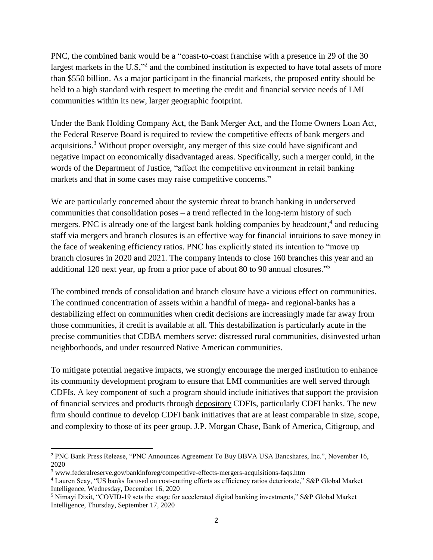PNC, the combined bank would be a "coast-to-coast franchise with a presence in 29 of the 30 largest markets in the U.S,"<sup>2</sup> and the combined institution is expected to have total assets of more than \$550 billion. As a major participant in the financial markets, the proposed entity should be held to a high standard with respect to meeting the credit and financial service needs of LMI communities within its new, larger geographic footprint.

Under the Bank Holding Company Act, the Bank Merger Act, and the Home Owners Loan Act, the Federal Reserve Board is required to review the competitive effects of bank mergers and acquisitions.<sup>3</sup> Without proper oversight, any merger of this size could have significant and negative impact on economically disadvantaged areas. Specifically, such a merger could, in the words of the Department of Justice, "affect the competitive environment in retail banking markets and that in some cases may raise competitive concerns."

We are particularly concerned about the systemic threat to branch banking in underserved communities that consolidation poses – a trend reflected in the long-term history of such mergers. PNC is already one of the largest bank holding companies by headcount,<sup>4</sup> and reducing staff via mergers and branch closures is an effective way for financial intuitions to save money in the face of weakening efficiency ratios. PNC has explicitly stated its intention to "move up branch closures in 2020 and 2021. The company intends to close 160 branches this year and an additional 120 next year, up from a prior pace of about 80 to 90 annual closures."<sup>5</sup>

The combined trends of consolidation and branch closure have a vicious effect on communities. The continued concentration of assets within a handful of mega- and regional-banks has a destabilizing effect on communities when credit decisions are increasingly made far away from those communities, if credit is available at all. This destabilization is particularly acute in the precise communities that CDBA members serve: distressed rural communities, disinvested urban neighborhoods, and under resourced Native American communities.

To mitigate potential negative impacts, we strongly encourage the merged institution to enhance its community development program to ensure that LMI communities are well served through CDFIs. A key component of such a program should include initiatives that support the provision of financial services and products through depository CDFIs, particularly CDFI banks. The new firm should continue to develop CDFI bank initiatives that are at least comparable in size, scope, and complexity to those of its peer group. J.P. Morgan Chase, Bank of America, Citigroup, and

 $\overline{\phantom{a}}$ 

<sup>2</sup> PNC Bank Press Release, "PNC Announces Agreement To Buy BBVA USA Bancshares, Inc.", November 16, 2020

<sup>3</sup> www.federalreserve.gov/bankinforeg/competitive-effects-mergers-acquisitions-faqs.htm

<sup>4</sup> Lauren Seay, "US banks focused on cost-cutting efforts as efficiency ratios deteriorate," S&P Global Market Intelligence, Wednesday, December 16, 2020

<sup>5</sup> Nimayi Dixit, "COVID-19 sets the stage for accelerated digital banking investments," S&P Global Market Intelligence, Thursday, September 17, 2020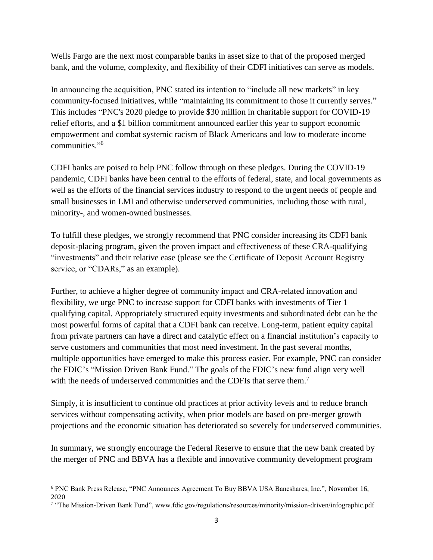Wells Fargo are the next most comparable banks in asset size to that of the proposed merged bank, and the volume, complexity, and flexibility of their CDFI initiatives can serve as models.

In announcing the acquisition, PNC stated its intention to "include all new markets" in key community-focused initiatives, while "maintaining its commitment to those it currently serves." This includes "PNC's 2020 pledge to provide \$30 million in charitable support for COVID-19 relief efforts, and a \$1 billion commitment announced earlier this year to support economic empowerment and combat systemic racism of Black Americans and low to moderate income communities." 6

CDFI banks are poised to help PNC follow through on these pledges. During the COVID-19 pandemic, CDFI banks have been central to the efforts of federal, state, and local governments as well as the efforts of the financial services industry to respond to the urgent needs of people and small businesses in LMI and otherwise underserved communities, including those with rural, minority-, and women-owned businesses.

To fulfill these pledges, we strongly recommend that PNC consider increasing its CDFI bank deposit-placing program, given the proven impact and effectiveness of these CRA-qualifying "investments" and their relative ease (please see the Certificate of Deposit Account Registry service, or "CDARs," as an example).

Further, to achieve a higher degree of community impact and CRA-related innovation and flexibility, we urge PNC to increase support for CDFI banks with investments of Tier 1 qualifying capital. Appropriately structured equity investments and subordinated debt can be the most powerful forms of capital that a CDFI bank can receive. Long-term, patient equity capital from private partners can have a direct and catalytic effect on a financial institution's capacity to serve customers and communities that most need investment. In the past several months, multiple opportunities have emerged to make this process easier. For example, PNC can consider the FDIC's "Mission Driven Bank Fund." The goals of the FDIC's new fund align very well with the needs of underserved communities and the CDFIs that serve them.<sup>7</sup>

Simply, it is insufficient to continue old practices at prior activity levels and to reduce branch services without compensating activity, when prior models are based on pre-merger growth projections and the economic situation has deteriorated so severely for underserved communities.

In summary, we strongly encourage the Federal Reserve to ensure that the new bank created by the merger of PNC and BBVA has a flexible and innovative community development program

 $\overline{\phantom{a}}$ <sup>6</sup> PNC Bank Press Release, "PNC Announces Agreement To Buy BBVA USA Bancshares, Inc.", November 16,

<sup>2020</sup> 7 "The Mission-Driven Bank Fund", www.fdic.gov/regulations/resources/minority/mission-driven/infographic.pdf